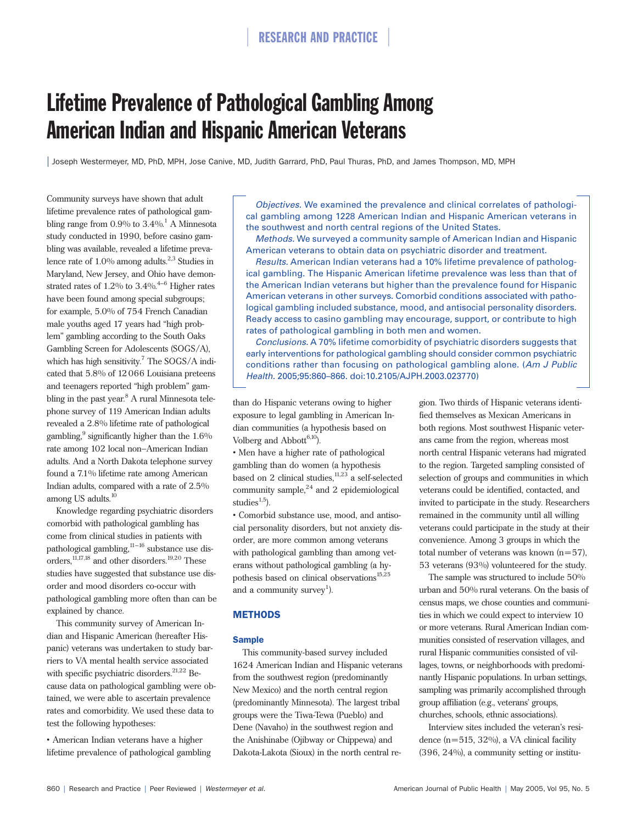# Lifetime Prevalence of Pathological Gambling Among American Indian and Hispanic American Veterans

| Joseph Westermeyer, MD, PhD, MPH, Jose Canive, MD, Judith Garrard, PhD, Paul Thuras, PhD, and James Thompson, MD, MPH

Community surveys have shown that adult lifetime prevalence rates of pathological gambling range from  $0.9\%$  to  $3.4\%$ <sup>1</sup> A Minnesota study conducted in 1990, before casino gambling was available, revealed a lifetime prevalence rate of  $1.0\%$  among adults.<sup>2,3</sup> Studies in Maryland, New Jersey, and Ohio have demonstrated rates of  $1.2\%$  to  $3.4\%$ .<sup>4-6</sup> Higher rates have been found among special subgroups; for example, 5.0% of 754 French Canadian male youths aged 17 years had "high problem" gambling according to the South Oaks Gambling Screen for Adolescents (SOGS/A), which has high sensitivity.<sup>7</sup> The SOGS/A indicated that 5.8% of 12066 Louisiana preteens and teenagers reported "high problem" gambling in the past year.<sup>8</sup> A rural Minnesota telephone survey of 119 American Indian adults revealed a 2.8% lifetime rate of pathological gambling, $9$  significantly higher than the 1.6% rate among 102 local non−American Indian adults. And a North Dakota telephone survey found a 7.1% lifetime rate among American Indian adults, compared with a rate of 2.5% among US adults.<sup>10</sup>

Knowledge regarding psychiatric disorders comorbid with pathological gambling has come from clinical studies in patients with pathological gambling, $11-16$  substance use disorders,  $11,17,18$  and other disorders.  $19,20$  These studies have suggested that substance use disorder and mood disorders co-occur with pathological gambling more often than can be explained by chance.

This community survey of American Indian and Hispanic American (hereafter Hispanic) veterans was undertaken to study barriers to VA mental health service associated with specific psychiatric disorders. $21,22$  Because data on pathological gambling were obtained, we were able to ascertain prevalence rates and comorbidity. We used these data to test the following hypotheses:

• American Indian veterans have a higher lifetime prevalence of pathological gambling

*Objectives.* We examined the prevalence and clinical correlates of pathological gambling among 1228 American Indian and Hispanic American veterans in the southwest and north central regions of the United States.

*Methods.* We surveyed a community sample of American Indian and Hispanic American veterans to obtain data on psychiatric disorder and treatment.

*Results.* American Indian veterans had a 10% lifetime prevalence of pathological gambling. The Hispanic American lifetime prevalence was less than that of the American Indian veterans but higher than the prevalence found for Hispanic American veterans in other surveys. Comorbid conditions associated with pathological gambling included substance, mood, and antisocial personality disorders. Ready access to casino gambling may encourage, support, or contribute to high rates of pathological gambling in both men and women.

*Conclusions.* A 70% lifetime comorbidity of psychiatric disorders suggests that early interventions for pathological gambling should consider common psychiatric conditions rather than focusing on pathological gambling alone. (*Am J Public Health.* 2005;95:860–866. doi:10.2105/AJPH.2003.023770)

than do Hispanic veterans owing to higher exposure to legal gambling in American Indian communities (a hypothesis based on Volberg and Abbott $^{6,10}$ ).

• Men have a higher rate of pathological gambling than do women (a hypothesis based on 2 clinical studies, $11,23$  a self-selected community sample, $24$  and 2 epidemiological studies $^{1,5}$ ).

• Comorbid substance use, mood, and antisocial personality disorders, but not anxiety disorder, are more common among veterans with pathological gambling than among veterans without pathological gambling (a hypothesis based on clinical observations<sup>15,25</sup> and a community survey<sup>1</sup>).

## **METHODS**

### **Sample**

This community-based survey included 1624 American Indian and Hispanic veterans from the southwest region (predominantly New Mexico) and the north central region (predominantly Minnesota). The largest tribal groups were the Tiwa-Tewa (Pueblo) and Dene (Navaho) in the southwest region and the Anishinabe (Ojibway or Chippewa) and Dakota-Lakota (Sioux) in the north central region. Two thirds of Hispanic veterans identified themselves as Mexican Americans in both regions. Most southwest Hispanic veterans came from the region, whereas most north central Hispanic veterans had migrated to the region. Targeted sampling consisted of selection of groups and communities in which veterans could be identified, contacted, and invited to participate in the study. Researchers remained in the community until all willing veterans could participate in the study at their convenience. Among 3 groups in which the total number of veterans was known  $(n=57)$ , 53 veterans (93%) volunteered for the study.

The sample was structured to include 50% urban and 50% rural veterans. On the basis of census maps, we chose counties and communities in which we could expect to interview 10 or more veterans. Rural American Indian communities consisted of reservation villages, and rural Hispanic communities consisted of villages, towns, or neighborhoods with predominantly Hispanic populations. In urban settings, sampling was primarily accomplished through group affiliation (e.g., veterans' groups, churches, schools, ethnic associations).

Interview sites included the veteran's residence  $(n=515, 32\%)$ , a VA clinical facility (396, 24%), a community setting or institu-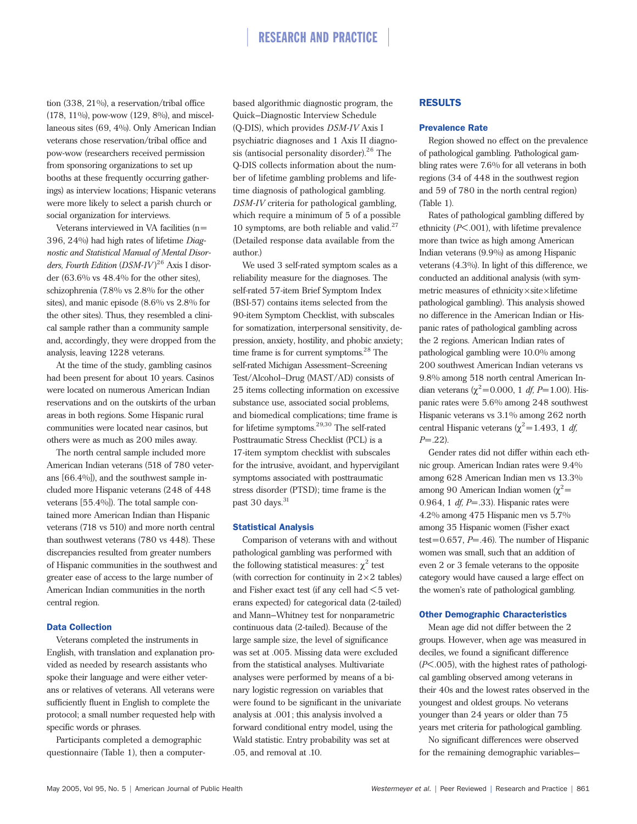tion (338, 21%), a reservation/tribal office (178, 11%), pow-wow (129, 8%), and miscellaneous sites (69, 4%). Only American Indian veterans chose reservation/tribal office and pow-wow (researchers received permission from sponsoring organizations to set up booths at these frequently occurring gatherings) as interview locations; Hispanic veterans were more likely to select a parish church or social organization for interviews.

Veterans interviewed in VA facilities (n= 396, 24%) had high rates of lifetime *Diagnostic and Statistical Manual of Mental Disorders, Fourth Edition* (*DSM-IV* ) <sup>26</sup> Axis I disorder (63.6% vs 48.4% for the other sites), schizophrenia (7.8% vs 2.8% for the other sites), and manic episode (8.6% vs 2.8% for the other sites). Thus, they resembled a clinical sample rather than a community sample and, accordingly, they were dropped from the analysis, leaving 1228 veterans.

At the time of the study, gambling casinos had been present for about 10 years. Casinos were located on numerous American Indian reservations and on the outskirts of the urban areas in both regions. Some Hispanic rural communities were located near casinos, but others were as much as 200 miles away.

The north central sample included more American Indian veterans (518 of 780 veterans [66.4%]), and the southwest sample included more Hispanic veterans (248 of 448 veterans [55.4%]). The total sample contained more American Indian than Hispanic veterans (718 vs 510) and more north central than southwest veterans (780 vs 448). These discrepancies resulted from greater numbers of Hispanic communities in the southwest and greater ease of access to the large number of American Indian communities in the north central region.

### Data Collection

Veterans completed the instruments in English, with translation and explanation provided as needed by research assistants who spoke their language and were either veterans or relatives of veterans. All veterans were sufficiently fluent in English to complete the protocol; a small number requested help with specific words or phrases.

Participants completed a demographic questionnaire (Table 1), then a computer-

based algorithmic diagnostic program, the Quick–Diagnostic Interview Schedule (Q-DIS), which provides *DSM-IV* Axis I psychiatric diagnoses and 1 Axis II diagnosis (antisocial personality disorder). $26$  The Q-DIS collects information about the number of lifetime gambling problems and lifetime diagnosis of pathological gambling. *DSM-IV* criteria for pathological gambling, which require a minimum of 5 of a possible 10 symptoms, are both reliable and valid. $27$ (Detailed response data available from the author.)

We used 3 self-rated symptom scales as a reliability measure for the diagnoses. The self-rated 57-item Brief Symptom Index (BSI-57) contains items selected from the 90-item Symptom Checklist, with subscales for somatization, interpersonal sensitivity, depression, anxiety, hostility, and phobic anxiety; time frame is for current symptoms.<sup>28</sup> The self-rated Michigan Assessment−Screening Test/Alcohol−Drug (MAST/AD) consists of 25 items collecting information on excessive substance use, associated social problems, and biomedical complications; time frame is for lifetime symptoms.29,30 The self-rated Posttraumatic Stress Checklist (PCL) is a 17-item symptom checklist with subscales for the intrusive, avoidant, and hypervigilant symptoms associated with posttraumatic stress disorder (PTSD); time frame is the past 30 days.<sup>31</sup>

### Statistical Analysis

Comparison of veterans with and without pathological gambling was performed with the following statistical measures:  $\chi^2$  test (with correction for continuity in  $2\times 2$  tables) and Fisher exact test (if any cell had  $<$  5 veterans expected) for categorical data (2-tailed) and Mann–Whitney test for nonparametric continuous data (2-tailed). Because of the large sample size, the level of significance was set at .005. Missing data were excluded from the statistical analyses. Multivariate analyses were performed by means of a binary logistic regression on variables that were found to be significant in the univariate analysis at .001; this analysis involved a forward conditional entry model, using the Wald statistic. Entry probability was set at .05, and removal at .10.

## RESULTS

## Prevalence Rate

Region showed no effect on the prevalence of pathological gambling. Pathological gambling rates were 7.6% for all veterans in both regions (34 of 448 in the southwest region and 59 of 780 in the north central region) (Table 1).

Rates of pathological gambling differed by ethnicity (*P*<.001), with lifetime prevalence more than twice as high among American Indian veterans (9.9%) as among Hispanic veterans (4.3%). In light of this difference, we conducted an additional analysis (with symmetric measures of ethnicity×site×lifetime pathological gambling). This analysis showed no difference in the American Indian or Hispanic rates of pathological gambling across the 2 regions. American Indian rates of pathological gambling were 10.0% among 200 southwest American Indian veterans vs 9.8% among 518 north central American Indian veterans ( $\chi^2$ =0.000, 1 *df, P*=1.00). Hispanic rates were 5.6% among 248 southwest Hispanic veterans vs 3.1% among 262 north central Hispanic veterans ( $\chi^2$ =1.493, 1 *df*, *P*=.22).

Gender rates did not differ within each ethnic group. American Indian rates were 9.4% among 628 American Indian men vs 13.3% among 90 American Indian women ( $χ²=$ 0.964, 1 *df, P*=.33). Hispanic rates were 4.2% among 475 Hispanic men vs 5.7% among 35 Hispanic women (Fisher exact test=0.657, *P*=.46). The number of Hispanic women was small, such that an addition of even 2 or 3 female veterans to the opposite category would have caused a large effect on the women's rate of pathological gambling.

### Other Demographic Characteristics

Mean age did not differ between the 2 groups. However, when age was measured in deciles, we found a significant difference (*P*<.005), with the highest rates of pathological gambling observed among veterans in their 40s and the lowest rates observed in the youngest and oldest groups. No veterans younger than 24 years or older than 75 years met criteria for pathological gambling.

No significant differences were observed for the remaining demographic variables—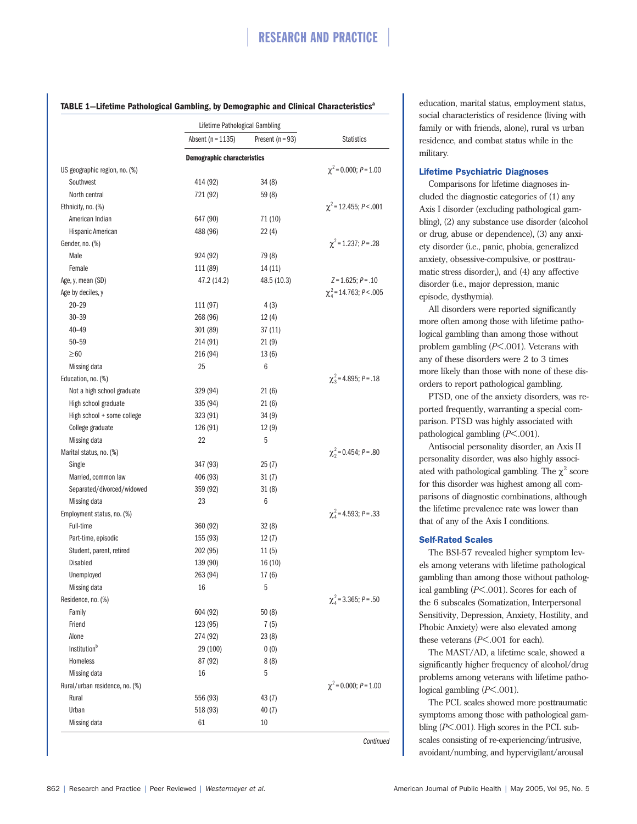## **TABLE 1–Lifetime Pathological Gambling, by Demographic and Clinical Characteristics**<sup>a</sup>

| Absent ( $n = 1135$ ) | Present ( $n = 93$ )                                                                                                                                                                                        | <b>Statistics</b>                                                                                                                                                                                      |
|-----------------------|-------------------------------------------------------------------------------------------------------------------------------------------------------------------------------------------------------------|--------------------------------------------------------------------------------------------------------------------------------------------------------------------------------------------------------|
|                       |                                                                                                                                                                                                             |                                                                                                                                                                                                        |
|                       |                                                                                                                                                                                                             | $\chi^2$ = 0.000; P = 1.00                                                                                                                                                                             |
| 414 (92)              | 34(8)                                                                                                                                                                                                       |                                                                                                                                                                                                        |
| 721 (92)              | 59 (8)                                                                                                                                                                                                      |                                                                                                                                                                                                        |
|                       |                                                                                                                                                                                                             | $\chi^2$ = 12.455; P < .001                                                                                                                                                                            |
| 647 (90)              | 71 (10)                                                                                                                                                                                                     |                                                                                                                                                                                                        |
| 488 (96)              | 22(4)                                                                                                                                                                                                       |                                                                                                                                                                                                        |
|                       |                                                                                                                                                                                                             | $\chi^2$ = 1.237; P = .28                                                                                                                                                                              |
|                       | 79 (8)                                                                                                                                                                                                      |                                                                                                                                                                                                        |
|                       |                                                                                                                                                                                                             |                                                                                                                                                                                                        |
|                       |                                                                                                                                                                                                             | $Z = 1.625; P = .10$                                                                                                                                                                                   |
|                       |                                                                                                                                                                                                             | $\chi^2$ <sub>4</sub> = 14.763; P < .005                                                                                                                                                               |
|                       |                                                                                                                                                                                                             |                                                                                                                                                                                                        |
|                       |                                                                                                                                                                                                             |                                                                                                                                                                                                        |
|                       |                                                                                                                                                                                                             |                                                                                                                                                                                                        |
|                       |                                                                                                                                                                                                             |                                                                                                                                                                                                        |
|                       |                                                                                                                                                                                                             |                                                                                                                                                                                                        |
|                       |                                                                                                                                                                                                             |                                                                                                                                                                                                        |
|                       |                                                                                                                                                                                                             |                                                                                                                                                                                                        |
|                       |                                                                                                                                                                                                             | $\chi^2$ = 4.895; P = .18                                                                                                                                                                              |
|                       |                                                                                                                                                                                                             |                                                                                                                                                                                                        |
|                       |                                                                                                                                                                                                             |                                                                                                                                                                                                        |
|                       |                                                                                                                                                                                                             |                                                                                                                                                                                                        |
|                       |                                                                                                                                                                                                             |                                                                                                                                                                                                        |
|                       |                                                                                                                                                                                                             |                                                                                                                                                                                                        |
|                       |                                                                                                                                                                                                             | $\chi^2$ = 0.454; P = .80                                                                                                                                                                              |
| 347 (93)              | 25(7)                                                                                                                                                                                                       |                                                                                                                                                                                                        |
| 406 (93)              | 31(7)                                                                                                                                                                                                       |                                                                                                                                                                                                        |
| 359 (92)              | 31(8)                                                                                                                                                                                                       |                                                                                                                                                                                                        |
| 23                    | 6                                                                                                                                                                                                           |                                                                                                                                                                                                        |
|                       |                                                                                                                                                                                                             | $\chi^2$ = 4.593; P = .33                                                                                                                                                                              |
| 360 (92)              | 32(8)                                                                                                                                                                                                       |                                                                                                                                                                                                        |
| 155 (93)              | 12(7)                                                                                                                                                                                                       |                                                                                                                                                                                                        |
| 202 (95)              | 11(5)                                                                                                                                                                                                       |                                                                                                                                                                                                        |
| 139 (90)              | 16(10)                                                                                                                                                                                                      |                                                                                                                                                                                                        |
| 263 (94)              | 17 (6)                                                                                                                                                                                                      |                                                                                                                                                                                                        |
| 16                    | 5                                                                                                                                                                                                           |                                                                                                                                                                                                        |
|                       |                                                                                                                                                                                                             | $\chi^2$ = 3.365; P = .50                                                                                                                                                                              |
| 604 (92)              | 50(8)                                                                                                                                                                                                       |                                                                                                                                                                                                        |
| 123 (95)              | 7(5)                                                                                                                                                                                                        |                                                                                                                                                                                                        |
| 274 (92)              | 23(8)                                                                                                                                                                                                       |                                                                                                                                                                                                        |
|                       |                                                                                                                                                                                                             |                                                                                                                                                                                                        |
| 87 (92)               |                                                                                                                                                                                                             |                                                                                                                                                                                                        |
|                       |                                                                                                                                                                                                             |                                                                                                                                                                                                        |
|                       |                                                                                                                                                                                                             | $\chi^2$ = 0.000; P = 1.00                                                                                                                                                                             |
|                       |                                                                                                                                                                                                             |                                                                                                                                                                                                        |
|                       |                                                                                                                                                                                                             |                                                                                                                                                                                                        |
|                       |                                                                                                                                                                                                             |                                                                                                                                                                                                        |
|                       | 924 (92)<br>111 (89)<br>47.2 (14.2)<br>111 (97)<br>268 (96)<br>301 (89)<br>214 (91)<br>216 (94)<br>25<br>329 (94)<br>335 (94)<br>323 (91)<br>126 (91)<br>22<br>29 (100)<br>16<br>556 (93)<br>518 (93)<br>61 | <b>Demographic characteristics</b><br>14 (11)<br>48.5 (10.3)<br>4 (3)<br>12(4)<br>37 (11)<br>21(9)<br>13(6)<br>6<br>21(6)<br>21(6)<br>34(9)<br>12(9)<br>5<br>0(0)<br>8(8)<br>5<br>43(7)<br>40(7)<br>10 |

education, marital status, employment status, social characteristics of residence (living with family or with friends, alone), rural vs urban residence, and combat status while in the military.

## Lifetime Psychiatric Diagnoses

Comparisons for lifetime diagnoses included the diagnostic categories of (1) any Axis I disorder (excluding pathological gambling), (2) any substance use disorder (alcohol or drug, abuse or dependence), (3) any anxiety disorder (i.e., panic, phobia, generalized anxiety, obsessive-compulsive, or posttraumatic stress disorder,), and (4) any affective disorder (i.e., major depression, manic episode, dysthymia).

All disorders were reported significantly more often among those with lifetime pathological gambling than among those without problem gambling (*P*<.001). Veterans with any of these disorders were 2 to 3 times more likely than those with none of these disorders to report pathological gambling.

PTSD, one of the anxiety disorders, was reported frequently, warranting a special comparison. PTSD was highly associated with pathological gambling (*P*<.001).

Antisocial personality disorder, an Axis II personality disorder, was also highly associated with pathological gambling. The  $\chi^2$  score for this disorder was highest among all comparisons of diagnostic combinations, although the lifetime prevalence rate was lower than that of any of the Axis I conditions.

## Self-Rated Scales

The BSI-57 revealed higher symptom levels among veterans with lifetime pathological gambling than among those without pathological gambling (*P*<.001). Scores for each of the 6 subscales (Somatization, Interpersonal Sensitivity, Depression, Anxiety, Hostility, and Phobic Anxiety) were also elevated among these veterans (*P*<.001 for each).

The MAST/AD, a lifetime scale, showed a significantly higher frequency of alcohol/drug problems among veterans with lifetime pathological gambling (*P*<.001).

The PCL scales showed more posttraumatic symptoms among those with pathological gambling (*P*<.001). High scores in the PCL subscales consisting of re-experiencing/intrusive, avoidant/numbing, and hypervigilant/arousal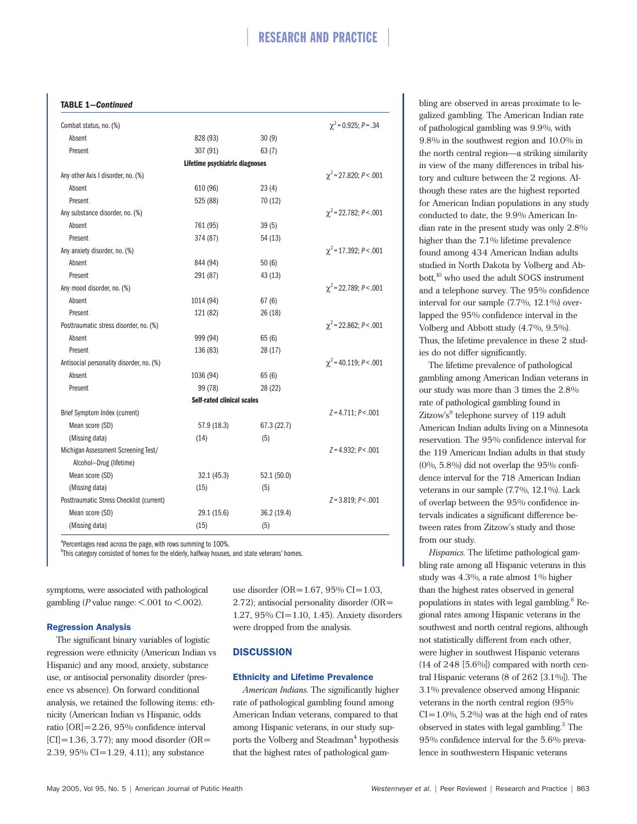## **TABLE 1—***Continued*

| Combat status, no. (%)                   |                                   |             | $\chi^2$ = 0.925; P = .34   |
|------------------------------------------|-----------------------------------|-------------|-----------------------------|
| Absent                                   | 828 (93)                          | 30(9)       |                             |
| Present                                  | 307 (91)                          | 63(7)       |                             |
|                                          | Lifetime psychiatric diagnoses    |             |                             |
| Any other Axis I disorder, no. (%)       |                                   |             | $\chi^2$ = 27.820; P < .001 |
| Absent                                   | 610 (96)                          | 23(4)       |                             |
| Present                                  | 525 (88)                          | 70 (12)     |                             |
| Any substance disorder, no. (%)          |                                   |             | $\chi^2$ = 22.782; P < .001 |
| Absent                                   | 761 (95)                          | 39(5)       |                             |
| Present                                  | 374 (87)                          | 54(13)      |                             |
| Any anxiety disorder, no. (%)            |                                   |             | $\chi^2$ = 17.392; P < .001 |
| Absent                                   | 844 (94)                          | 50(6)       |                             |
| Present                                  | 291 (87)                          | 43 (13)     |                             |
| Any mood disorder, no. (%)               |                                   |             | $\chi^2$ = 22.789; P < .001 |
| Absent                                   | 1014 (94)                         | 67(6)       |                             |
| Present                                  | 121 (82)                          | 26 (18)     |                             |
| Posttraumatic stress disorder, no. (%)   |                                   |             | $\chi^2$ = 22.862; P < .001 |
| Absent                                   | 999 (94)                          | 65(6)       |                             |
| Present                                  | 136 (83)                          | 28 (17)     |                             |
| Antisocial personality disorder, no. (%) |                                   |             | $\chi^2$ = 40.119; P < .001 |
| Absent                                   | 1036 (94)                         | 65(6)       |                             |
| Present                                  | 99 (78)                           | 28 (22)     |                             |
|                                          | <b>Self-rated clinical scales</b> |             |                             |
| Brief Symptom Index (current)            |                                   |             | $Z = 4.711; P < .001$       |
| Mean score (SD)                          | 57.9 (18.3)                       | 67.3 (22.7) |                             |
| (Missing data)                           | (14)                              | (5)         |                             |
| Michigan Assessment Screening Test/      |                                   |             | $Z = 4.932; P < .001$       |
| Alcohol-Drug (lifetime)                  |                                   |             |                             |
| Mean score (SD)                          | 32.1(45.3)                        | 52.1 (50.0) |                             |
| (Missing data)                           | (15)                              | (5)         |                             |
| Posttraumatic Stress Checklist (current) |                                   |             | $Z = 3.819; P < .001$       |
| Mean score (SD)                          | 29.1 (15.6)                       | 36.2 (19.4) |                             |
| (Missing data)                           | (15)                              | (5)         |                             |

<sup>a</sup>Percentages read across the page, with rows summing to 100%.

<sup>b</sup>This category consisted of homes for the elderly, halfway houses, and state veterans' homes.

symptoms, were associated with pathological gambling ( $P$  value range:  $\leq$ .001 to  $\leq$ .002).

## Regression Analysis

The significant binary variables of logistic regression were ethnicity (American Indian vs Hispanic) and any mood, anxiety, substance use, or antisocial personality disorder (presence vs absence). On forward conditional analysis, we retained the following items: ethnicity (American Indian vs Hispanic, odds ratio [OR]=2.26, 95% confidence interval  $[CI] = 1.36, 3.77$ ; any mood disorder (OR= 2.39, 95% CI=1.29, 4.11); any substance

use disorder (OR=1.67, 95% CI=1.03, 2.72); antisocial personality disorder (OR= 1.27, 95% CI=1.10, 1.45). Anxiety disorders were dropped from the analysis.

## **DISCUSSION**

### Ethnicity and Lifetime Prevalence

*American Indians.* The significantly higher rate of pathological gambling found among American Indian veterans, compared to that among Hispanic veterans, in our study supports the Volberg and Steadman<sup>4</sup> hypothesis that the highest rates of pathological gambling are observed in areas proximate to legalized gambling. The American Indian rate of pathological gambling was 9.9%, with 9.8% in the southwest region and 10.0% in the north central region—a striking similarity in view of the many differences in tribal history and culture between the 2 regions. Although these rates are the highest reported for American Indian populations in any study conducted to date, the 9.9% American Indian rate in the present study was only 2.8% higher than the 7.1% lifetime prevalence found among 434 American Indian adults studied in North Dakota by Volberg and Abbott,<sup>10</sup> who used the adult SOGS instrument and a telephone survey. The 95% confidence interval for our sample (7.7%, 12.1%) overlapped the 95% confidence interval in the Volberg and Abbott study (4.7%, 9.5%). Thus, the lifetime prevalence in these 2 studies do not differ significantly.

The lifetime prevalence of pathological gambling among American Indian veterans in our study was more than 3 times the 2.8% rate of pathological gambling found in Zitzow's<sup>9</sup> telephone survey of 119 adult American Indian adults living on a Minnesota reservation. The 95% confidence interval for the 119 American Indian adults in that study  $(0\%$ , 5.8%) did not overlap the 95% confidence interval for the 718 American Indian veterans in our sample (7.7%, 12.1%). Lack of overlap between the 95% confidence intervals indicates a significant difference between rates from Zitzow's study and those from our study.

*Hispanics.* The lifetime pathological gambling rate among all Hispanic veterans in this study was 4.3%, a rate almost 1% higher than the highest rates observed in general populations in states with legal gambling. $6$  Regional rates among Hispanic veterans in the southwest and north central regions, although not statistically different from each other, were higher in southwest Hispanic veterans  $(14$  of  $248$  [5.6%]) compared with north central Hispanic veterans (8 of 262 [3.1%]). The 3.1% prevalence observed among Hispanic veterans in the north central region (95%  $CI=1.0\%$ , 5.2%) was at the high end of rates observed in states with legal gambling.<sup>3</sup> The 95% confidence interval for the 5.6% prevalence in southwestern Hispanic veterans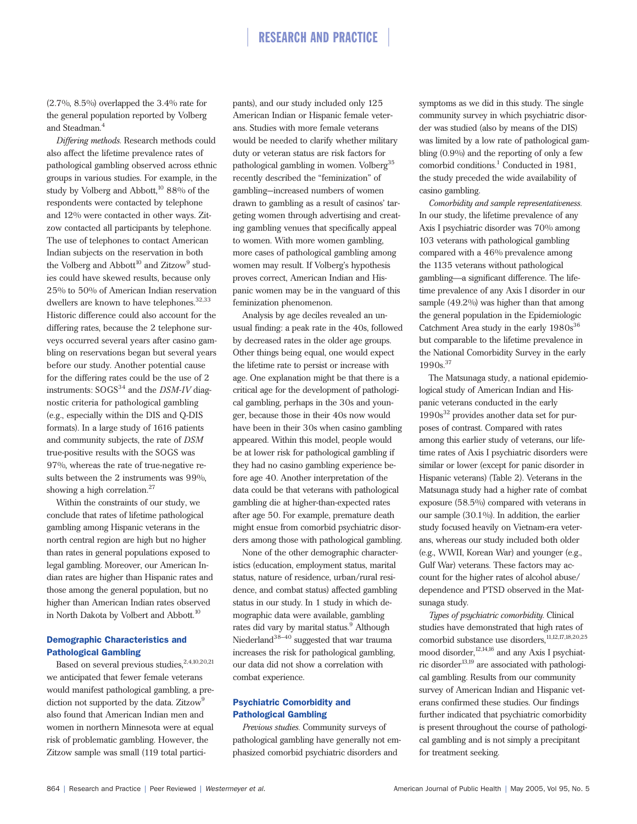(2.7%, 8.5%) overlapped the 3.4% rate for the general population reported by Volberg and Steadman.<sup>4</sup>

*Differing methods.* Research methods could also affect the lifetime prevalence rates of pathological gambling observed across ethnic groups in various studies. For example, in the study by Volberg and Abbott, $10\,88\%$  of the respondents were contacted by telephone and 12% were contacted in other ways. Zitzow contacted all participants by telephone. The use of telephones to contact American Indian subjects on the reservation in both the Volberg and Abbott<sup>10</sup> and Zitzow<sup>9</sup> studies could have skewed results, because only 25% to 50% of American Indian reservation dwellers are known to have telephones.<sup>32,33</sup> Historic difference could also account for the differing rates, because the 2 telephone surveys occurred several years after casino gambling on reservations began but several years before our study. Another potential cause for the differing rates could be the use of 2 instruments: SOGS<sup>34</sup> and the *DSM-IV* diagnostic criteria for pathological gambling (e.g., especially within the DIS and Q-DIS formats). In a large study of 1616 patients and community subjects, the rate of *DSM* true-positive results with the SOGS was 97%, whereas the rate of true-negative results between the 2 instruments was 99%, showing a high correlation.<sup>27</sup>

Within the constraints of our study, we conclude that rates of lifetime pathological gambling among Hispanic veterans in the north central region are high but no higher than rates in general populations exposed to legal gambling. Moreover, our American Indian rates are higher than Hispanic rates and those among the general population, but no higher than American Indian rates observed in North Dakota by Volbert and Abbott.<sup>10</sup>

## Demographic Characteristics and Pathological Gambling

Based on several previous studies,<sup>2,4,10,20,21</sup> we anticipated that fewer female veterans would manifest pathological gambling, a prediction not supported by the data. Zitzow<sup>9</sup> also found that American Indian men and women in northern Minnesota were at equal risk of problematic gambling. However, the Zitzow sample was small (119 total participants), and our study included only 125 American Indian or Hispanic female veterans. Studies with more female veterans would be needed to clarify whether military duty or veteran status are risk factors for pathological gambling in women. Volberg<sup>35</sup> recently described the "feminization" of gambling—increased numbers of women drawn to gambling as a result of casinos' targeting women through advertising and creating gambling venues that specifically appeal to women. With more women gambling, more cases of pathological gambling among women may result. If Volberg's hypothesis proves correct, American Indian and Hispanic women may be in the vanguard of this feminization phenomenon.

Analysis by age deciles revealed an unusual finding: a peak rate in the 40s, followed by decreased rates in the older age groups. Other things being equal, one would expect the lifetime rate to persist or increase with age. One explanation might be that there is a critical age for the development of pathological gambling, perhaps in the 30s and younger, because those in their 40s now would have been in their 30s when casino gambling appeared. Within this model, people would be at lower risk for pathological gambling if they had no casino gambling experience before age 40. Another interpretation of the data could be that veterans with pathological gambling die at higher-than-expected rates after age 50. For example, premature death might ensue from comorbid psychiatric disorders among those with pathological gambling.

None of the other demographic characteristics (education, employment status, marital status, nature of residence, urban/rural residence, and combat status) affected gambling status in our study. In 1 study in which demographic data were available, gambling rates did vary by marital status.<sup>9</sup> Although Niederland<sup>38–40</sup> suggested that war trauma increases the risk for pathological gambling, our data did not show a correlation with combat experience.

## Psychiatric Comorbidity and Pathological Gambling

*Previous studies.* Community surveys of pathological gambling have generally not emphasized comorbid psychiatric disorders and

symptoms as we did in this study. The single community survey in which psychiatric disorder was studied (also by means of the DIS) was limited by a low rate of pathological gambling (0.9%) and the reporting of only a few comorbid conditions.<sup>1</sup> Conducted in 1981, the study preceded the wide availability of casino gambling.

*Comorbidity and sample representativeness.* In our study, the lifetime prevalence of any Axis I psychiatric disorder was 70% among 103 veterans with pathological gambling compared with a 46% prevalence among the 1135 veterans without pathological gambling—a significant difference. The lifetime prevalence of any Axis I disorder in our sample (49.2%) was higher than that among the general population in the Epidemiologic Catchment Area study in the early  $1980s^{36}$ but comparable to the lifetime prevalence in the National Comorbidity Survey in the early  $1990s.<sup>37</sup>$ 

The Matsunaga study, a national epidemiological study of American Indian and Hispanic veterans conducted in the early  $1990s<sup>32</sup>$  provides another data set for purposes of contrast. Compared with rates among this earlier study of veterans, our lifetime rates of Axis I psychiatric disorders were similar or lower (except for panic disorder in Hispanic veterans) (Table 2). Veterans in the Matsunaga study had a higher rate of combat exposure (58.5%) compared with veterans in our sample (30.1%). In addition, the earlier study focused heavily on Vietnam-era veterans, whereas our study included both older (e.g., WWII, Korean War) and younger (e.g., Gulf War) veterans. These factors may account for the higher rates of alcohol abuse/ dependence and PTSD observed in the Matsunaga study.

*Types of psychiatric comorbidity.* Clinical studies have demonstrated that high rates of comorbid substance use disorders,  $\frac{11,12,17,18,20,25}{2}$ mood disorder,<sup>12,14,16</sup> and any Axis I psychiatric disorder $^{13,19}$  are associated with pathological gambling. Results from our community survey of American Indian and Hispanic veterans confirmed these studies. Our findings further indicated that psychiatric comorbidity is present throughout the course of pathological gambling and is not simply a precipitant for treatment seeking.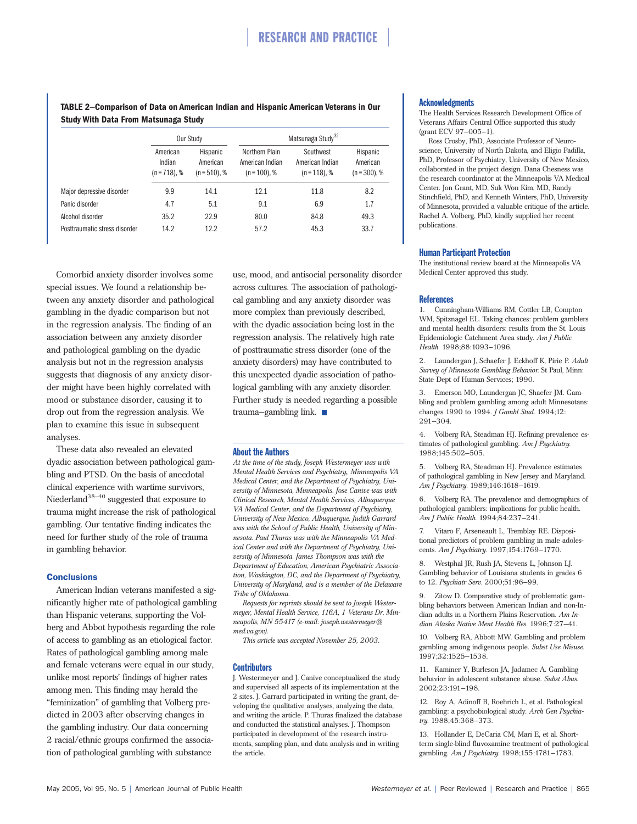**TABLE 2**−**Comparison of Data on American Indian and Hispanic American Veterans in Our Study With Data From Matsunaga Study**

|                               | Our Study                             |                                         | Matsunaga Study <sup>32</sup>                        |                                               |                                         |
|-------------------------------|---------------------------------------|-----------------------------------------|------------------------------------------------------|-----------------------------------------------|-----------------------------------------|
|                               | American<br>Indian<br>$(n = 718)$ , % | Hispanic<br>American<br>$(n = 510)$ , % | Northern Plain<br>American Indian<br>$(n = 100)$ , % | Southwest<br>American Indian<br>$(n=118)$ , % | Hispanic<br>American<br>$(n = 300)$ , % |
| Major depressive disorder     | 9.9                                   | 14.1                                    | 12.1                                                 | 11.8                                          | 8.2                                     |
| Panic disorder                | 4.7                                   | 5.1                                     | 9.1                                                  | 6.9                                           | 1.7                                     |
| Alcohol disorder              | 35.2                                  | 22.9                                    | 80.0                                                 | 84.8                                          | 49.3                                    |
| Posttraumatic stress disorder | 14.2                                  | 12.2                                    | 57.2                                                 | 45.3                                          | 33.7                                    |

Comorbid anxiety disorder involves some special issues. We found a relationship between any anxiety disorder and pathological gambling in the dyadic comparison but not in the regression analysis. The finding of an association between any anxiety disorder and pathological gambling on the dyadic analysis but not in the regression analysis suggests that diagnosis of any anxiety disorder might have been highly correlated with mood or substance disorder, causing it to drop out from the regression analysis. We plan to examine this issue in subsequent analyses.

These data also revealed an elevated dyadic association between pathological gambling and PTSD. On the basis of anecdotal clinical experience with wartime survivors, Niederland<sup>38-40</sup> suggested that exposure to trauma might increase the risk of pathological gambling. Our tentative finding indicates the need for further study of the role of trauma in gambling behavior.

## **Conclusions**

American Indian veterans manifested a significantly higher rate of pathological gambling than Hispanic veterans, supporting the Volberg and Abbot hypothesis regarding the role of access to gambling as an etiological factor. Rates of pathological gambling among male and female veterans were equal in our study, unlike most reports' findings of higher rates among men. This finding may herald the "feminization" of gambling that Volberg predicted in 2003 after observing changes in the gambling industry. Our data concerning 2 racial/ethnic groups confirmed the association of pathological gambling with substance

use, mood, and antisocial personality disorder across cultures. The association of pathological gambling and any anxiety disorder was more complex than previously described, with the dyadic association being lost in the regression analysis. The relatively high rate of posttraumatic stress disorder (one of the anxiety disorders) may have contributed to this unexpected dyadic association of pathological gambling with any anxiety disorder. Further study is needed regarding a possible trauma–gambling link.

## About the Authors

*At the time of the study, Joseph Westermeyer was with Mental Health Services and Psychiatry*, *Minneapolis VA Medical Center, and the Department of Psychiatry, University of Minnesota, Minneapolis. Jose Canive was with Clinical Research, Mental Health Services, Albuquerque VA Medical Center, and the Department of Psychiatry, University of New Mexico, Albuquerque. Judith Garrard was with the School of Public Health, University of Minnesota. Paul Thuras was with the Minneapolis VA Medical Center and with the Department of Psychiatry, University of Minnesota. James Thompson was with the Department of Education, American Psychiatric Association, Washington, DC, and the Department of Psychiatry, University of Maryland, and is a member of the Delaware Tribe of Oklahoma.*

*Requests for reprints should be sent to Joseph Westermeyer, Mental Health Service, 116A, 1 Veterans Dr, Minneapolis, MN 55417 (e-mail: joseph.westermeyer@ med.va.gov).*

*This article was accepted November 25, 2003.*

### **Contributors**

J. Westermeyer and J. Canive conceptualized the study and supervised all aspects of its implementation at the 2 sites. J. Garrard participated in writing the grant, developing the qualitative analyses, analyzing the data, and writing the article. P. Thuras finalized the database and conducted the statistical analyses. J. Thompson participated in development of the research instruments, sampling plan, and data analysis and in writing the article.

#### Acknowledgments

The Health Services Research Development Office of Veterans Affairs Central Office supported this study (grant ECV 97–005–1).

Ross Crosby, PhD, Associate Professor of Neuroscience, University of North Dakota, and Eligio Padilla, PhD, Professor of Psychiatry, University of New Mexico, collaborated in the project design. Dana Chesness was the research coordinator at the Minneapolis VA Medical Center. Jon Grant, MD, Suk Won Kim, MD, Randy Stinchfield, PhD, and Kenneth Winters, PhD, University of Minnesota, provided a valuable critique of the article. Rachel A. Volberg, PhD, kindly supplied her recent publications.

## Human Participant Protection

The institutional review board at the Minneapolis VA Medical Center approved this study.

#### **References**

1. Cunningham-Williams RM, Cottler LB, Compton WM, Spitznagel EL. Taking chances: problem gamblers and mental health disorders: results from the St. Louis Epidemiologic Catchment Area study. *Am J Public Health.* 1998;88:1093–1096.

2. Laundergan J, Schaefer J, Eckhoff K, Pirie P. *Adult Survey of Minnesota Gambling Behavior.* St Paul, Minn: State Dept of Human Services; 1990.

3. Emerson MO, Laundergan JC, Shaefer JM. Gambling and problem gambling among adult Minnesotans: changes 1990 to 1994. *J Gambl Stud.* 1994;12: 291–304.

4. Volberg RA, Steadman HJ. Refining prevalence estimates of pathological gambling. *Am J Psychiatry.* 1988;145:502–505.

5. Volberg RA, Steadman HJ. Prevalence estimates of pathological gambling in New Jersey and Maryland. *Am J Psychiatry.* 1989;146:1618–1619.

Volberg RA. The prevalence and demographics of pathological gamblers: implications for public health. *Am J Public Health.* 1994;84:237–241.

7. Vitaro F, Arseneault L, Tremblay RE. Dispositional predictors of problem gambling in male adolescents. *Am J Psychiatry.* 1997;154:1769–1770.

8. Westphal JR, Rush JA, Stevens L, Johnson LJ. Gambling behavior of Louisiana students in grades 6 to 12. *Psychiatr Serv.* 2000;51:96–99.

9. Zitow D. Comparative study of problematic gambling behaviors between American Indian and non-Indian adults in a Northern Plains Reservation. *Am Indian Alaska Native Ment Health Res.* 1996;7:27–41.

10. Volberg RA, Abbott MW. Gambling and problem gambling among indigenous people. *Subst Use Misuse.* 1997;32:1525–1538.

11. Kaminer Y, Burleson JA, Jadamec A. Gambling behavior in adolescent substance abuse. *Subst Abus.* 2002;23:191–198.

12. Roy A, Adinoff B, Roehrich L, et al. Pathological gambling: a psychobiological study. *Arch Gen Psychiatry.* 1988;45:368–373.

13. Hollander E, DeCaria CM, Mari E, et al. Shortterm single-blind fluvoxamine treatment of pathological gambling. *Am J Psychiatry.* 1998;155:1781–1783.